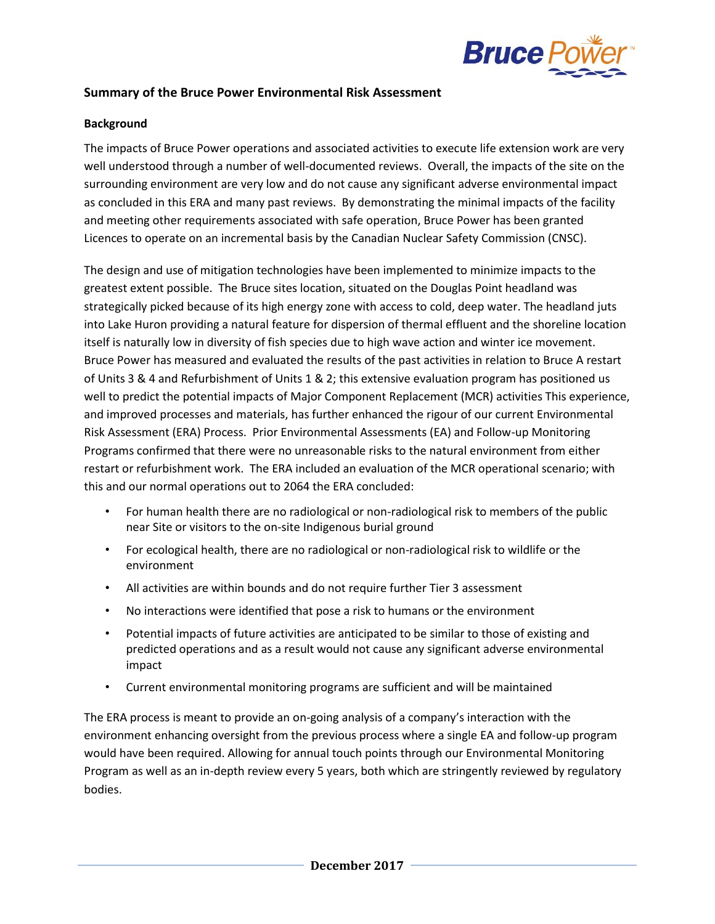

## **Summary of the Bruce Power Environmental Risk Assessment**

## **Background**

The impacts of Bruce Power operations and associated activities to execute life extension work are very well understood through a number of well-documented reviews. Overall, the impacts of the site on the surrounding environment are very low and do not cause any significant adverse environmental impact as concluded in this ERA and many past reviews. By demonstrating the minimal impacts of the facility and meeting other requirements associated with safe operation, Bruce Power has been granted Licences to operate on an incremental basis by the Canadian Nuclear Safety Commission (CNSC).

The design and use of mitigation technologies have been implemented to minimize impacts to the greatest extent possible. The Bruce sites location, situated on the Douglas Point headland was strategically picked because of its high energy zone with access to cold, deep water. The headland juts into Lake Huron providing a natural feature for dispersion of thermal effluent and the shoreline location itself is naturally low in diversity of fish species due to high wave action and winter ice movement. Bruce Power has measured and evaluated the results of the past activities in relation to Bruce A restart of Units 3 & 4 and Refurbishment of Units 1 & 2; this extensive evaluation program has positioned us well to predict the potential impacts of Major Component Replacement (MCR) activities This experience, and improved processes and materials, has further enhanced the rigour of our current Environmental Risk Assessment (ERA) Process. Prior Environmental Assessments (EA) and Follow-up Monitoring Programs confirmed that there were no unreasonable risks to the natural environment from either restart or refurbishment work. The ERA included an evaluation of the MCR operational scenario; with this and our normal operations out to 2064 the ERA concluded:

- For human health there are no radiological or non-radiological risk to members of the public near Site or visitors to the on-site Indigenous burial ground
- For ecological health, there are no radiological or non-radiological risk to wildlife or the environment
- All activities are within bounds and do not require further Tier 3 assessment
- No interactions were identified that pose a risk to humans or the environment
- Potential impacts of future activities are anticipated to be similar to those of existing and predicted operations and as a result would not cause any significant adverse environmental impact
- Current environmental monitoring programs are sufficient and will be maintained

The ERA process is meant to provide an on-going analysis of a company's interaction with the environment enhancing oversight from the previous process where a single EA and follow-up program would have been required. Allowing for annual touch points through our Environmental Monitoring Program as well as an in-depth review every 5 years, both which are stringently reviewed by regulatory bodies.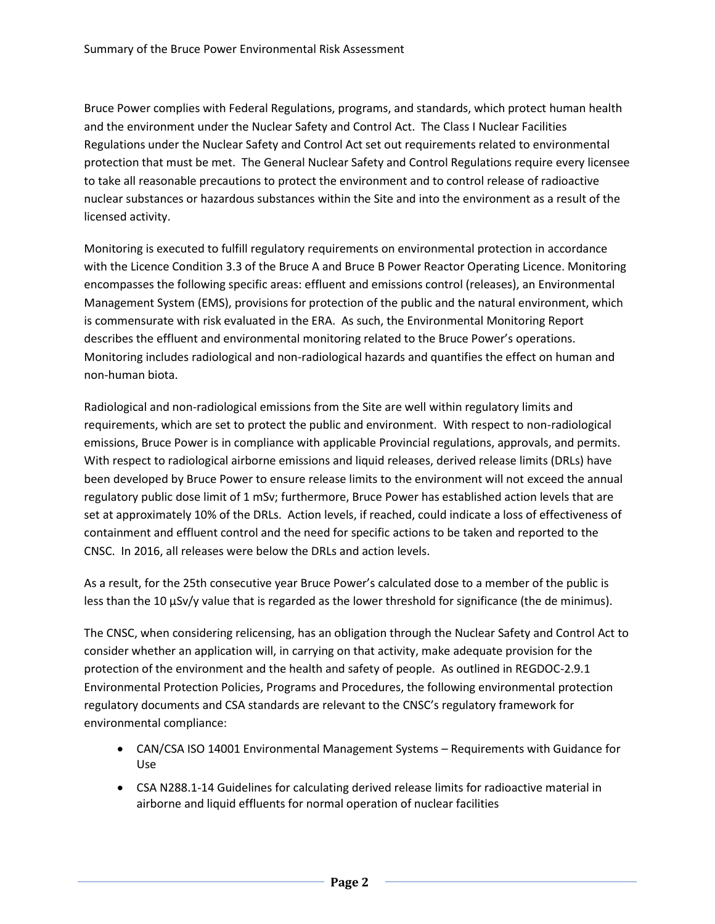Bruce Power complies with Federal Regulations, programs, and standards, which protect human health and the environment under the Nuclear Safety and Control Act. The Class I Nuclear Facilities Regulations under the Nuclear Safety and Control Act set out requirements related to environmental protection that must be met. The General Nuclear Safety and Control Regulations require every licensee to take all reasonable precautions to protect the environment and to control release of radioactive nuclear substances or hazardous substances within the Site and into the environment as a result of the licensed activity.

Monitoring is executed to fulfill regulatory requirements on environmental protection in accordance with the Licence Condition 3.3 of the Bruce A and Bruce B Power Reactor Operating Licence. Monitoring encompasses the following specific areas: effluent and emissions control (releases), an Environmental Management System (EMS), provisions for protection of the public and the natural environment, which is commensurate with risk evaluated in the ERA. As such, the Environmental Monitoring Report describes the effluent and environmental monitoring related to the Bruce Power's operations. Monitoring includes radiological and non-radiological hazards and quantifies the effect on human and non-human biota.

Radiological and non-radiological emissions from the Site are well within regulatory limits and requirements, which are set to protect the public and environment. With respect to non-radiological emissions, Bruce Power is in compliance with applicable Provincial regulations, approvals, and permits. With respect to radiological airborne emissions and liquid releases, derived release limits (DRLs) have been developed by Bruce Power to ensure release limits to the environment will not exceed the annual regulatory public dose limit of 1 mSv; furthermore, Bruce Power has established action levels that are set at approximately 10% of the DRLs. Action levels, if reached, could indicate a loss of effectiveness of containment and effluent control and the need for specific actions to be taken and reported to the CNSC. In 2016, all releases were below the DRLs and action levels.

As a result, for the 25th consecutive year Bruce Power's calculated dose to a member of the public is less than the 10  $\mu$ Sv/y value that is regarded as the lower threshold for significance (the de minimus).

The CNSC, when considering relicensing, has an obligation through the Nuclear Safety and Control Act to consider whether an application will, in carrying on that activity, make adequate provision for the protection of the environment and the health and safety of people. As outlined in REGDOC-2.9.1 Environmental Protection Policies, Programs and Procedures, the following environmental protection regulatory documents and CSA standards are relevant to the CNSC's regulatory framework for environmental compliance:

- CAN/CSA ISO 14001 Environmental Management Systems Requirements with Guidance for Use
- CSA N288.1-14 Guidelines for calculating derived release limits for radioactive material in airborne and liquid effluents for normal operation of nuclear facilities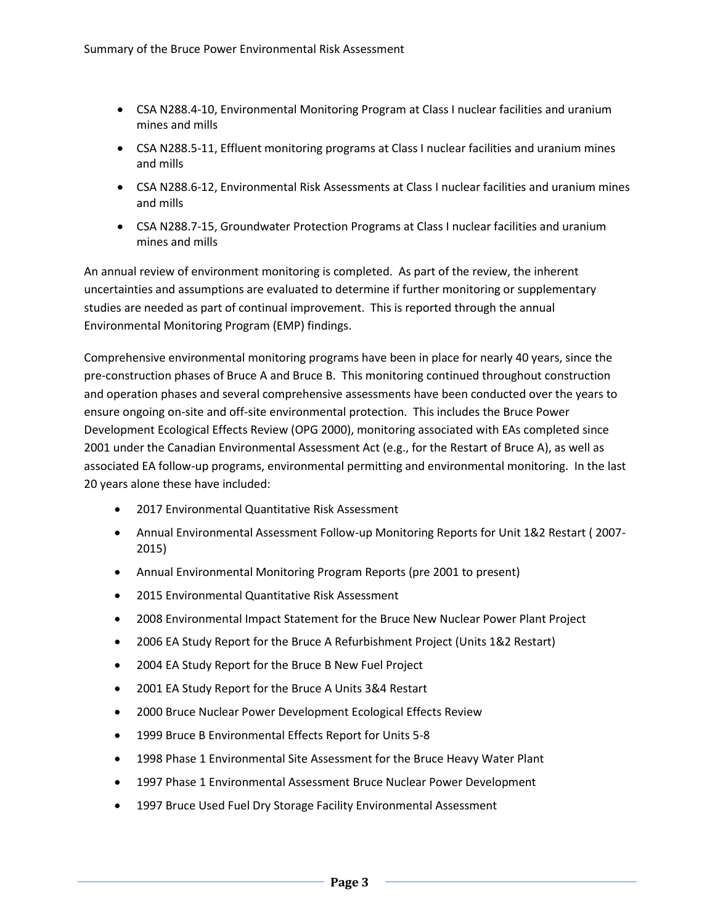- CSA N288.4-10, Environmental Monitoring Program at Class I nuclear facilities and uranium mines and mills
- CSA N288.5-11, Effluent monitoring programs at Class I nuclear facilities and uranium mines and mills
- CSA N288.6-12, Environmental Risk Assessments at Class I nuclear facilities and uranium mines and mills
- CSA N288.7-15, Groundwater Protection Programs at Class I nuclear facilities and uranium mines and mills

An annual review of environment monitoring is completed. As part of the review, the inherent uncertainties and assumptions are evaluated to determine if further monitoring or supplementary studies are needed as part of continual improvement. This is reported through the annual Environmental Monitoring Program (EMP) findings.

Comprehensive environmental monitoring programs have been in place for nearly 40 years, since the pre-construction phases of Bruce A and Bruce B. This monitoring continued throughout construction and operation phases and several comprehensive assessments have been conducted over the years to ensure ongoing on-site and off-site environmental protection. This includes the Bruce Power Development Ecological Effects Review (OPG 2000), monitoring associated with EAs completed since 2001 under the Canadian Environmental Assessment Act (e.g., for the Restart of Bruce A), as well as associated EA follow-up programs, environmental permitting and environmental monitoring. In the last 20 years alone these have included:

- 2017 Environmental Quantitative Risk Assessment
- Annual Environmental Assessment Follow-up Monitoring Reports for Unit 1&2 Restart ( 2007- 2015)
- Annual Environmental Monitoring Program Reports (pre 2001 to present)
- 2015 Environmental Quantitative Risk Assessment
- 2008 Environmental Impact Statement for the Bruce New Nuclear Power Plant Project
- 2006 EA Study Report for the Bruce A Refurbishment Project (Units 1&2 Restart)
- 2004 EA Study Report for the Bruce B New Fuel Project
- 2001 EA Study Report for the Bruce A Units 3&4 Restart
- 2000 Bruce Nuclear Power Development Ecological Effects Review
- 1999 Bruce B Environmental Effects Report for Units 5-8
- 1998 Phase 1 Environmental Site Assessment for the Bruce Heavy Water Plant
- 1997 Phase 1 Environmental Assessment Bruce Nuclear Power Development
- 1997 Bruce Used Fuel Dry Storage Facility Environmental Assessment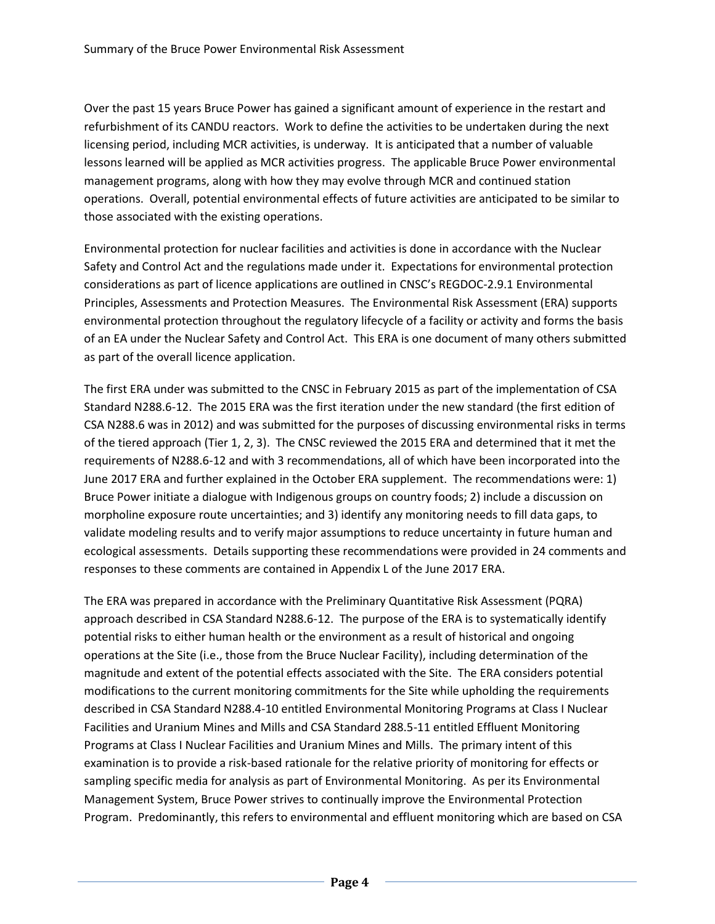Over the past 15 years Bruce Power has gained a significant amount of experience in the restart and refurbishment of its CANDU reactors. Work to define the activities to be undertaken during the next licensing period, including MCR activities, is underway. It is anticipated that a number of valuable lessons learned will be applied as MCR activities progress. The applicable Bruce Power environmental management programs, along with how they may evolve through MCR and continued station operations. Overall, potential environmental effects of future activities are anticipated to be similar to those associated with the existing operations.

Environmental protection for nuclear facilities and activities is done in accordance with the Nuclear Safety and Control Act and the regulations made under it. Expectations for environmental protection considerations as part of licence applications are outlined in CNSC's REGDOC-2.9.1 Environmental Principles, Assessments and Protection Measures. The Environmental Risk Assessment (ERA) supports environmental protection throughout the regulatory lifecycle of a facility or activity and forms the basis of an EA under the Nuclear Safety and Control Act. This ERA is one document of many others submitted as part of the overall licence application.

The first ERA under was submitted to the CNSC in February 2015 as part of the implementation of CSA Standard N288.6-12. The 2015 ERA was the first iteration under the new standard (the first edition of CSA N288.6 was in 2012) and was submitted for the purposes of discussing environmental risks in terms of the tiered approach (Tier 1, 2, 3). The CNSC reviewed the 2015 ERA and determined that it met the requirements of N288.6-12 and with 3 recommendations, all of which have been incorporated into the June 2017 ERA and further explained in the October ERA supplement. The recommendations were: 1) Bruce Power initiate a dialogue with Indigenous groups on country foods; 2) include a discussion on morpholine exposure route uncertainties; and 3) identify any monitoring needs to fill data gaps, to validate modeling results and to verify major assumptions to reduce uncertainty in future human and ecological assessments. Details supporting these recommendations were provided in 24 comments and responses to these comments are contained in Appendix L of the June 2017 ERA.

The ERA was prepared in accordance with the Preliminary Quantitative Risk Assessment (PQRA) approach described in CSA Standard N288.6-12. The purpose of the ERA is to systematically identify potential risks to either human health or the environment as a result of historical and ongoing operations at the Site (i.e., those from the Bruce Nuclear Facility), including determination of the magnitude and extent of the potential effects associated with the Site. The ERA considers potential modifications to the current monitoring commitments for the Site while upholding the requirements described in CSA Standard N288.4-10 entitled Environmental Monitoring Programs at Class I Nuclear Facilities and Uranium Mines and Mills and CSA Standard 288.5-11 entitled Effluent Monitoring Programs at Class I Nuclear Facilities and Uranium Mines and Mills. The primary intent of this examination is to provide a risk-based rationale for the relative priority of monitoring for effects or sampling specific media for analysis as part of Environmental Monitoring. As per its Environmental Management System, Bruce Power strives to continually improve the Environmental Protection Program. Predominantly, this refers to environmental and effluent monitoring which are based on CSA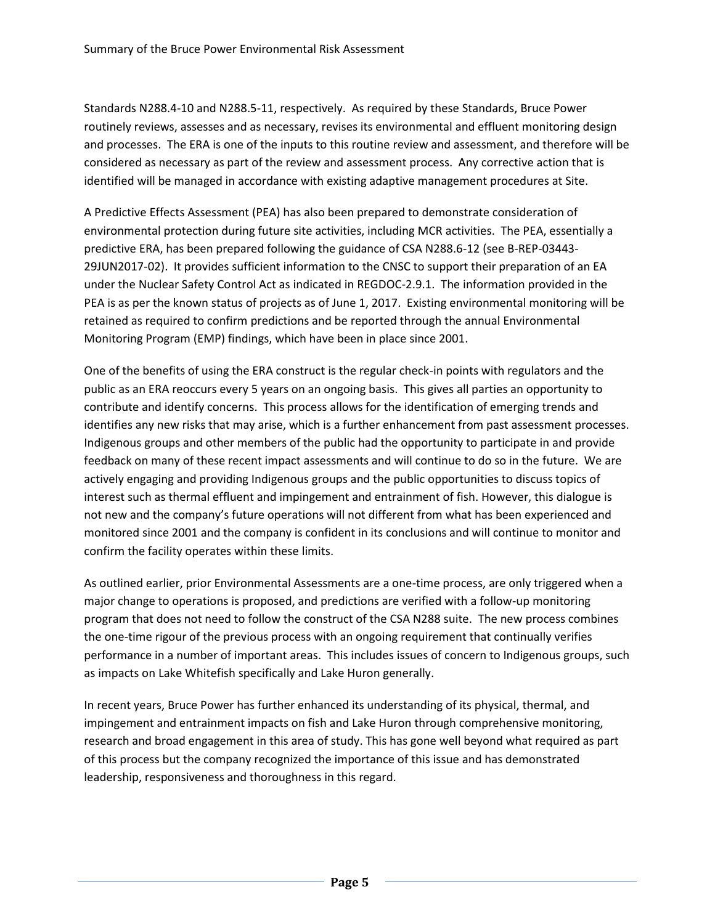Standards N288.4-10 and N288.5-11, respectively. As required by these Standards, Bruce Power routinely reviews, assesses and as necessary, revises its environmental and effluent monitoring design and processes. The ERA is one of the inputs to this routine review and assessment, and therefore will be considered as necessary as part of the review and assessment process. Any corrective action that is identified will be managed in accordance with existing adaptive management procedures at Site.

A Predictive Effects Assessment (PEA) has also been prepared to demonstrate consideration of environmental protection during future site activities, including MCR activities. The PEA, essentially a predictive ERA, has been prepared following the guidance of CSA N288.6-12 (see B-REP-03443- 29JUN2017-02). It provides sufficient information to the CNSC to support their preparation of an EA under the Nuclear Safety Control Act as indicated in REGDOC-2.9.1. The information provided in the PEA is as per the known status of projects as of June 1, 2017. Existing environmental monitoring will be retained as required to confirm predictions and be reported through the annual Environmental Monitoring Program (EMP) findings, which have been in place since 2001.

One of the benefits of using the ERA construct is the regular check-in points with regulators and the public as an ERA reoccurs every 5 years on an ongoing basis. This gives all parties an opportunity to contribute and identify concerns. This process allows for the identification of emerging trends and identifies any new risks that may arise, which is a further enhancement from past assessment processes. Indigenous groups and other members of the public had the opportunity to participate in and provide feedback on many of these recent impact assessments and will continue to do so in the future. We are actively engaging and providing Indigenous groups and the public opportunities to discuss topics of interest such as thermal effluent and impingement and entrainment of fish. However, this dialogue is not new and the company's future operations will not different from what has been experienced and monitored since 2001 and the company is confident in its conclusions and will continue to monitor and confirm the facility operates within these limits.

As outlined earlier, prior Environmental Assessments are a one-time process, are only triggered when a major change to operations is proposed, and predictions are verified with a follow-up monitoring program that does not need to follow the construct of the CSA N288 suite. The new process combines the one-time rigour of the previous process with an ongoing requirement that continually verifies performance in a number of important areas. This includes issues of concern to Indigenous groups, such as impacts on Lake Whitefish specifically and Lake Huron generally.

In recent years, Bruce Power has further enhanced its understanding of its physical, thermal, and impingement and entrainment impacts on fish and Lake Huron through comprehensive monitoring, research and broad engagement in this area of study. This has gone well beyond what required as part of this process but the company recognized the importance of this issue and has demonstrated leadership, responsiveness and thoroughness in this regard.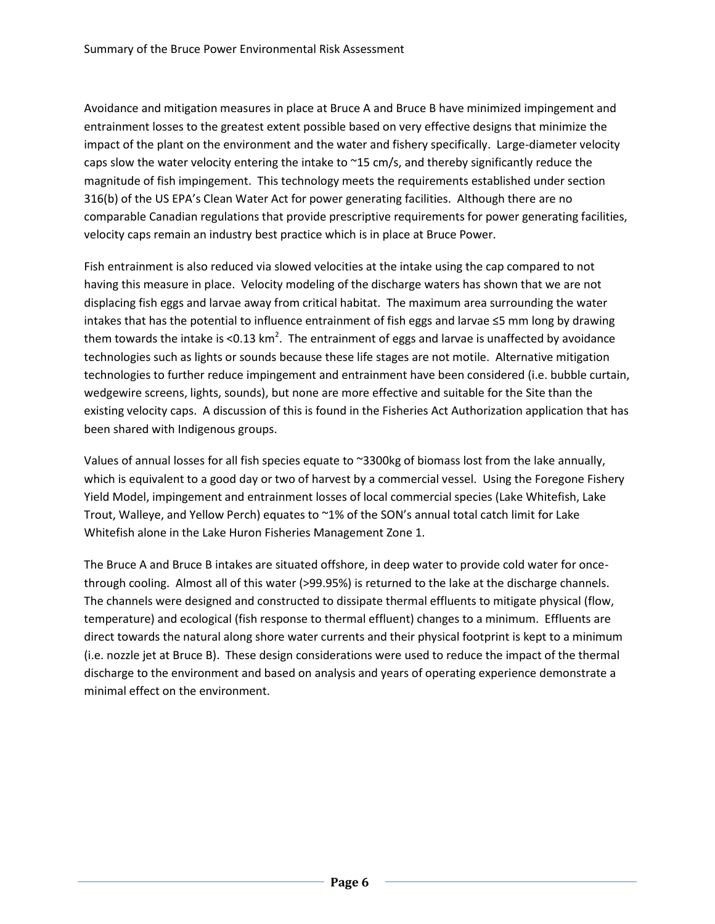Avoidance and mitigation measures in place at Bruce A and Bruce B have minimized impingement and entrainment losses to the greatest extent possible based on very effective designs that minimize the impact of the plant on the environment and the water and fishery specifically. Large-diameter velocity caps slow the water velocity entering the intake to  $\gamma$ 15 cm/s, and thereby significantly reduce the magnitude of fish impingement. This technology meets the requirements established under section 316(b) of the US EPA's Clean Water Act for power generating facilities. Although there are no comparable Canadian regulations that provide prescriptive requirements for power generating facilities, velocity caps remain an industry best practice which is in place at Bruce Power.

Fish entrainment is also reduced via slowed velocities at the intake using the cap compared to not having this measure in place. Velocity modeling of the discharge waters has shown that we are not displacing fish eggs and larvae away from critical habitat. The maximum area surrounding the water intakes that has the potential to influence entrainment of fish eggs and larvae ≤5 mm long by drawing them towards the intake is <0.13 km<sup>2</sup>. The entrainment of eggs and larvae is unaffected by avoidance technologies such as lights or sounds because these life stages are not motile. Alternative mitigation technologies to further reduce impingement and entrainment have been considered (i.e. bubble curtain, wedgewire screens, lights, sounds), but none are more effective and suitable for the Site than the existing velocity caps. A discussion of this is found in the Fisheries Act Authorization application that has been shared with Indigenous groups.

Values of annual losses for all fish species equate to ~3300kg of biomass lost from the lake annually, which is equivalent to a good day or two of harvest by a commercial vessel. Using the Foregone Fishery Yield Model, impingement and entrainment losses of local commercial species (Lake Whitefish, Lake Trout, Walleye, and Yellow Perch) equates to ~1% of the SON's annual total catch limit for Lake Whitefish alone in the Lake Huron Fisheries Management Zone 1.

The Bruce A and Bruce B intakes are situated offshore, in deep water to provide cold water for oncethrough cooling. Almost all of this water (>99.95%) is returned to the lake at the discharge channels. The channels were designed and constructed to dissipate thermal effluents to mitigate physical (flow, temperature) and ecological (fish response to thermal effluent) changes to a minimum. Effluents are direct towards the natural along shore water currents and their physical footprint is kept to a minimum (i.e. nozzle jet at Bruce B). These design considerations were used to reduce the impact of the thermal discharge to the environment and based on analysis and years of operating experience demonstrate a minimal effect on the environment.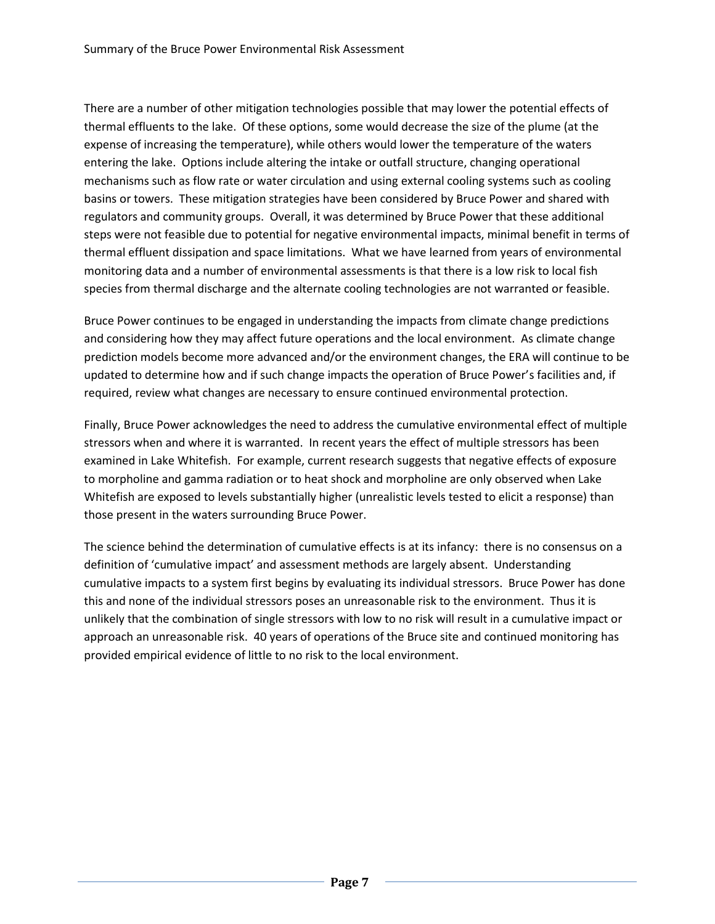There are a number of other mitigation technologies possible that may lower the potential effects of thermal effluents to the lake. Of these options, some would decrease the size of the plume (at the expense of increasing the temperature), while others would lower the temperature of the waters entering the lake. Options include altering the intake or outfall structure, changing operational mechanisms such as flow rate or water circulation and using external cooling systems such as cooling basins or towers. These mitigation strategies have been considered by Bruce Power and shared with regulators and community groups. Overall, it was determined by Bruce Power that these additional steps were not feasible due to potential for negative environmental impacts, minimal benefit in terms of thermal effluent dissipation and space limitations. What we have learned from years of environmental monitoring data and a number of environmental assessments is that there is a low risk to local fish species from thermal discharge and the alternate cooling technologies are not warranted or feasible.

Bruce Power continues to be engaged in understanding the impacts from climate change predictions and considering how they may affect future operations and the local environment. As climate change prediction models become more advanced and/or the environment changes, the ERA will continue to be updated to determine how and if such change impacts the operation of Bruce Power's facilities and, if required, review what changes are necessary to ensure continued environmental protection.

Finally, Bruce Power acknowledges the need to address the cumulative environmental effect of multiple stressors when and where it is warranted. In recent years the effect of multiple stressors has been examined in Lake Whitefish. For example, current research suggests that negative effects of exposure to morpholine and gamma radiation or to heat shock and morpholine are only observed when Lake Whitefish are exposed to levels substantially higher (unrealistic levels tested to elicit a response) than those present in the waters surrounding Bruce Power.

The science behind the determination of cumulative effects is at its infancy: there is no consensus on a definition of 'cumulative impact' and assessment methods are largely absent. Understanding cumulative impacts to a system first begins by evaluating its individual stressors. Bruce Power has done this and none of the individual stressors poses an unreasonable risk to the environment. Thus it is unlikely that the combination of single stressors with low to no risk will result in a cumulative impact or approach an unreasonable risk. 40 years of operations of the Bruce site and continued monitoring has provided empirical evidence of little to no risk to the local environment.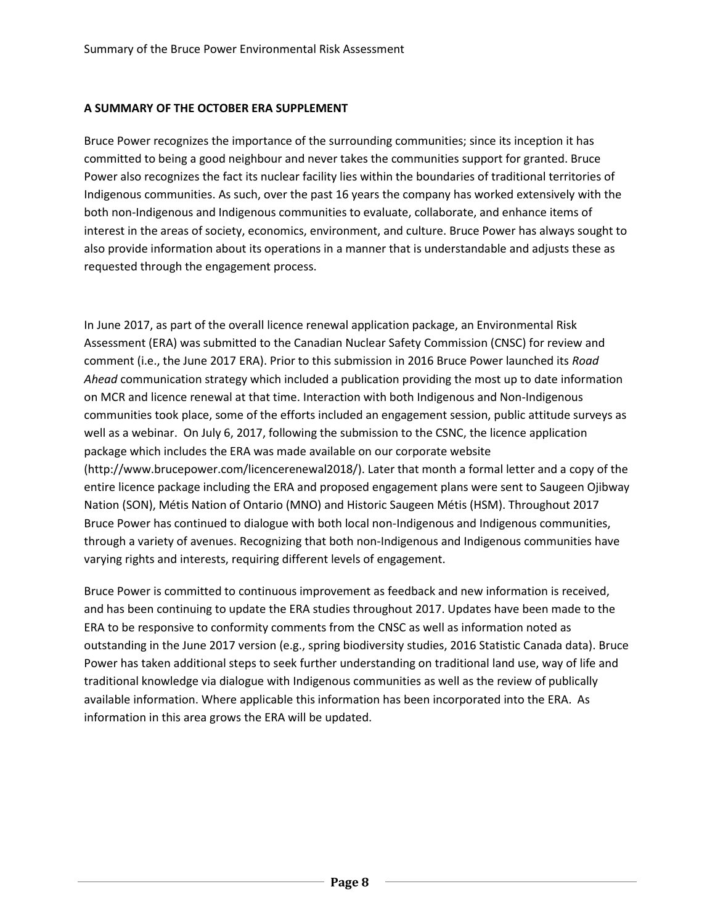## **A SUMMARY OF THE OCTOBER ERA SUPPLEMENT**

Bruce Power recognizes the importance of the surrounding communities; since its inception it has committed to being a good neighbour and never takes the communities support for granted. Bruce Power also recognizes the fact its nuclear facility lies within the boundaries of traditional territories of Indigenous communities. As such, over the past 16 years the company has worked extensively with the both non-Indigenous and Indigenous communities to evaluate, collaborate, and enhance items of interest in the areas of society, economics, environment, and culture. Bruce Power has always sought to also provide information about its operations in a manner that is understandable and adjusts these as requested through the engagement process.

In June 2017, as part of the overall licence renewal application package, an Environmental Risk Assessment (ERA) was submitted to the Canadian Nuclear Safety Commission (CNSC) for review and comment (i.e., the June 2017 ERA). Prior to this submission in 2016 Bruce Power launched its *Road Ahead* communication strategy which included a publication providing the most up to date information on MCR and licence renewal at that time. Interaction with both Indigenous and Non-Indigenous communities took place, some of the efforts included an engagement session, public attitude surveys as well as a webinar. On July 6, 2017, following the submission to the CSNC, the licence application package which includes the ERA was made available on our corporate website (http://www.brucepower.com/licencerenewal2018/). Later that month a formal letter and a copy of the entire licence package including the ERA and proposed engagement plans were sent to Saugeen Ojibway Nation (SON), Métis Nation of Ontario (MNO) and Historic Saugeen Métis (HSM). Throughout 2017 Bruce Power has continued to dialogue with both local non-Indigenous and Indigenous communities, through a variety of avenues. Recognizing that both non-Indigenous and Indigenous communities have varying rights and interests, requiring different levels of engagement.

Bruce Power is committed to continuous improvement as feedback and new information is received, and has been continuing to update the ERA studies throughout 2017. Updates have been made to the ERA to be responsive to conformity comments from the CNSC as well as information noted as outstanding in the June 2017 version (e.g., spring biodiversity studies, 2016 Statistic Canada data). Bruce Power has taken additional steps to seek further understanding on traditional land use, way of life and traditional knowledge via dialogue with Indigenous communities as well as the review of publically available information. Where applicable this information has been incorporated into the ERA. As information in this area grows the ERA will be updated.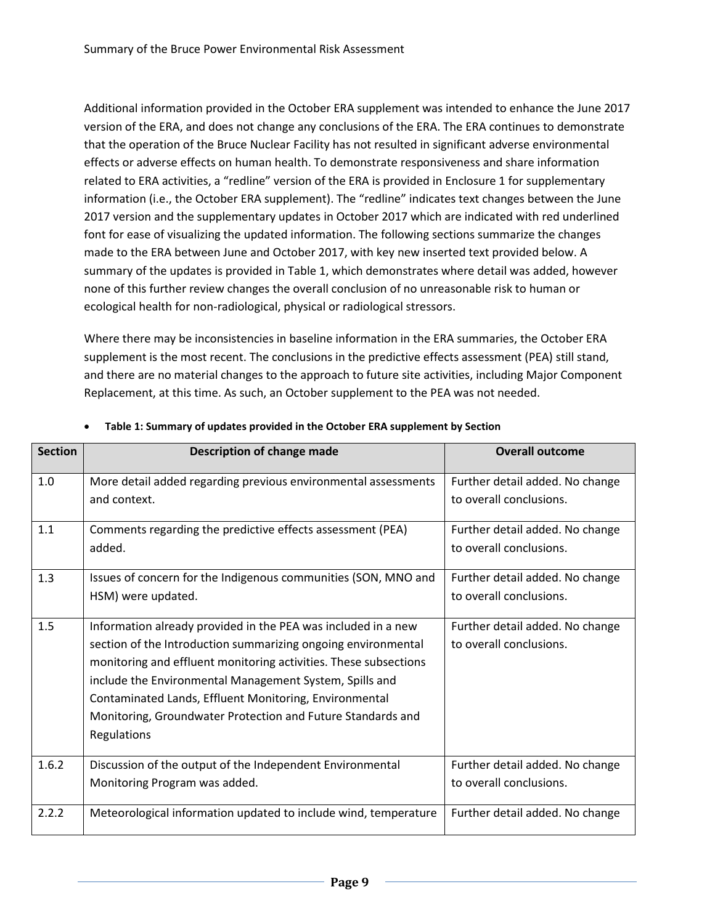Additional information provided in the October ERA supplement was intended to enhance the June 2017 version of the ERA, and does not change any conclusions of the ERA. The ERA continues to demonstrate that the operation of the Bruce Nuclear Facility has not resulted in significant adverse environmental effects or adverse effects on human health. To demonstrate responsiveness and share information related to ERA activities, a "redline" version of the ERA is provided in Enclosure 1 for supplementary information (i.e., the October ERA supplement). The "redline" indicates text changes between the June 2017 version and the supplementary updates in October 2017 which are indicated with red underlined font for ease of visualizing the updated information. The following sections summarize the changes made to the ERA between June and October 2017, with key new inserted text provided below. A summary of the updates is provided i[n Table 1,](#page-8-0) which demonstrates where detail was added, however none of this further review changes the overall conclusion of no unreasonable risk to human or ecological health for non-radiological, physical or radiological stressors.

Where there may be inconsistencies in baseline information in the ERA summaries, the October ERA supplement is the most recent. The conclusions in the predictive effects assessment (PEA) still stand, and there are no material changes to the approach to future site activities, including Major Component Replacement, at this time. As such, an October supplement to the PEA was not needed.

| <b>Section</b> | <b>Description of change made</b>                                                                                                                                                                                                                                                                                                                                                                     | <b>Overall outcome</b>                                     |  |  |
|----------------|-------------------------------------------------------------------------------------------------------------------------------------------------------------------------------------------------------------------------------------------------------------------------------------------------------------------------------------------------------------------------------------------------------|------------------------------------------------------------|--|--|
| 1.0            | More detail added regarding previous environmental assessments<br>and context.                                                                                                                                                                                                                                                                                                                        | Further detail added. No change<br>to overall conclusions. |  |  |
| 1.1            | Comments regarding the predictive effects assessment (PEA)<br>added.                                                                                                                                                                                                                                                                                                                                  | Further detail added. No change<br>to overall conclusions. |  |  |
| 1.3            | Issues of concern for the Indigenous communities (SON, MNO and<br>HSM) were updated.                                                                                                                                                                                                                                                                                                                  | Further detail added. No change<br>to overall conclusions. |  |  |
| 1.5            | Information already provided in the PEA was included in a new<br>section of the Introduction summarizing ongoing environmental<br>monitoring and effluent monitoring activities. These subsections<br>include the Environmental Management System, Spills and<br>Contaminated Lands, Effluent Monitoring, Environmental<br>Monitoring, Groundwater Protection and Future Standards and<br>Regulations | Further detail added. No change<br>to overall conclusions. |  |  |
| 1.6.2          | Discussion of the output of the Independent Environmental<br>Monitoring Program was added.                                                                                                                                                                                                                                                                                                            | Further detail added. No change<br>to overall conclusions. |  |  |
| 2.2.2          | Meteorological information updated to include wind, temperature                                                                                                                                                                                                                                                                                                                                       | Further detail added. No change                            |  |  |

## <span id="page-8-0"></span>**Table 1: Summary of updates provided in the October ERA supplement by Section**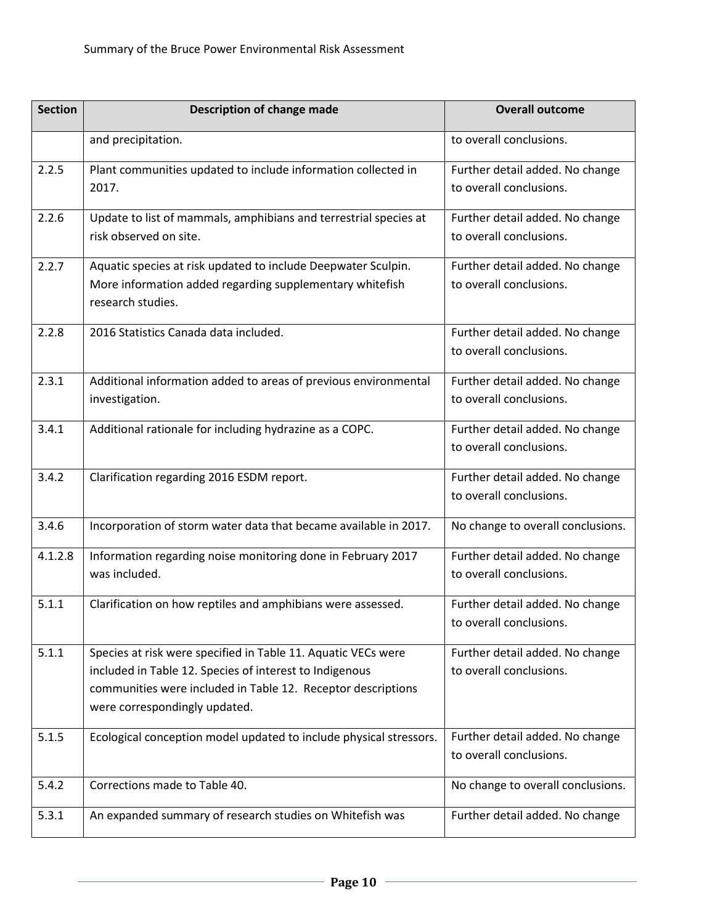| <b>Section</b> | <b>Description of change made</b>                                                                                                                                                                                         | <b>Overall outcome</b>                                     |
|----------------|---------------------------------------------------------------------------------------------------------------------------------------------------------------------------------------------------------------------------|------------------------------------------------------------|
|                | and precipitation.                                                                                                                                                                                                        | to overall conclusions.                                    |
| 2.2.5          | Plant communities updated to include information collected in<br>2017.                                                                                                                                                    | Further detail added. No change<br>to overall conclusions. |
| 2.2.6          | Update to list of mammals, amphibians and terrestrial species at<br>risk observed on site.                                                                                                                                | Further detail added. No change<br>to overall conclusions. |
| 2.2.7          | Aquatic species at risk updated to include Deepwater Sculpin.<br>More information added regarding supplementary whitefish<br>research studies.                                                                            | Further detail added. No change<br>to overall conclusions. |
| 2.2.8          | 2016 Statistics Canada data included.                                                                                                                                                                                     | Further detail added. No change<br>to overall conclusions. |
| 2.3.1          | Additional information added to areas of previous environmental<br>investigation.                                                                                                                                         | Further detail added. No change<br>to overall conclusions. |
| 3.4.1          | Additional rationale for including hydrazine as a COPC.                                                                                                                                                                   | Further detail added. No change<br>to overall conclusions. |
| 3.4.2          | Clarification regarding 2016 ESDM report.                                                                                                                                                                                 | Further detail added. No change<br>to overall conclusions. |
| 3.4.6          | Incorporation of storm water data that became available in 2017.                                                                                                                                                          | No change to overall conclusions.                          |
| 4.1.2.8        | Information regarding noise monitoring done in February 2017<br>was included.                                                                                                                                             | Further detail added. No change<br>to overall conclusions. |
| 5.1.1          | Clarification on how reptiles and amphibians were assessed.                                                                                                                                                               | Further detail added. No change<br>to overall conclusions. |
| 5.1.1          | Species at risk were specified in Table 11. Aquatic VECs were<br>included in Table 12. Species of interest to Indigenous<br>communities were included in Table 12. Receptor descriptions<br>were correspondingly updated. | Further detail added. No change<br>to overall conclusions. |
| 5.1.5          | Ecological conception model updated to include physical stressors.                                                                                                                                                        | Further detail added. No change<br>to overall conclusions. |
| 5.4.2          | Corrections made to Table 40.                                                                                                                                                                                             | No change to overall conclusions.                          |
| 5.3.1          | An expanded summary of research studies on Whitefish was                                                                                                                                                                  | Further detail added. No change                            |